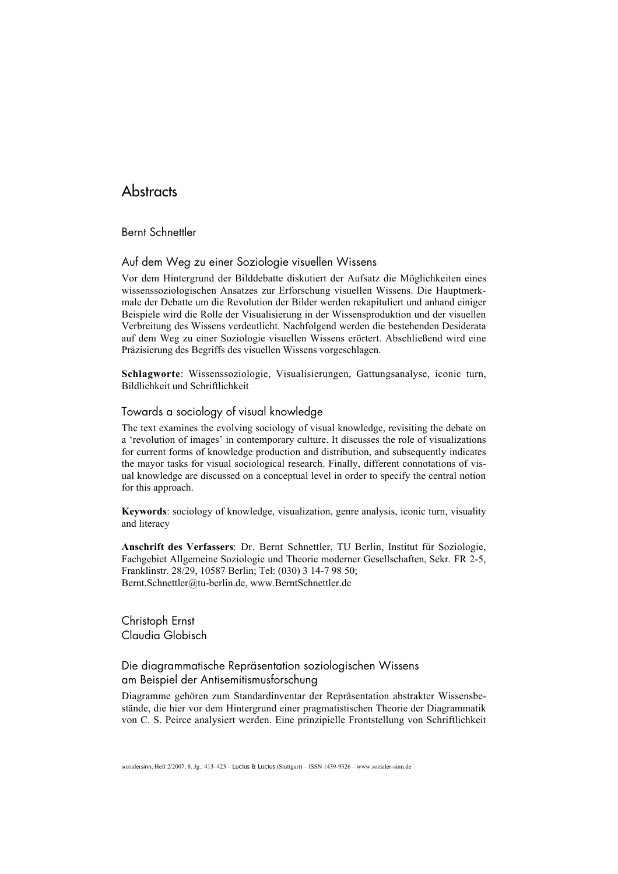# **Abstracts**

Bernt Schnettler

### Auf dem Weg zu einer Soziologie visuellen Wissens

Vor dem Hintergrund der Bilddebatte diskutiert der Aufsatz die Möglichkeiten eines wissenssoziologischen Ansatzes zur Erforschung visuellen Wissens. Die Hauptmerkmale der Debatte um die Revolution der Bilder werden rekapituliert und anhand einiger Beispiele wird die Rolle der Visualisierung in der Wissensproduktion und der visuellen Verbreitung des Wissens verdeutlicht. Nachfolgend werden die bestehenden Desiderata auf dem Weg zu einer Soziologie visuellen Wissens erörtert. Abschließend wird eine Präzisierung des Begriffs des visuellen Wissens vorgeschlagen.

Schlagworte: Wissenssoziologie, Visualisierungen, Gattungsanalyse, iconic turn, Bildlichkeit und Schriftlichkeit

#### Towards a sociology of visual knowledge

The text examines the evolving sociology of visual knowledge, revisiting the debate on a 'revolution of images' in contemporary culture. It discusses the role of visualizations for current forms of knowledge production and distribution, and subsequently indicates the mayor tasks for visual sociological research. Finally, different connotations of visual knowledge are discussed on a conceptual level in order to specify the central notion for this approach.

Keywords: sociology of knowledge, visualization, genre analysis, iconic turn, visuality and literacy

Anschrift des Verfassers: Dr. Bernt Schnettler, TU Berlin, Institut für Soziologie, Fachgebiet Allgemeine Soziologie und Theorie moderner Gesellschaften, Sekr. FR 2-5, Franklinstr. 28/29, 10587 Berlin; Tel: (030) 3 14-7 98 50; Bernt.Schnettler@tu-berlin.de, www.BerntSchnettler.de

Christoph Ernst Claudia Globisch

## Die diagrammatische Repräsentation soziologischen Wissens am Beispiel der Antisemitismusforschung

Diagramme gehören zum Standardinventar der Repräsentation abstrakter Wissensbestände, die hier vor dem Hintergrund einer pragmatistischen Theorie der Diagrammatik von C. S. Peirce analysiert werden. Eine prinzipielle Frontstellung von Schriftlichkeit

sozialersinn, Heft 2/2007, 8. Jg.: 413–423 – Lucius & Lucius (Stuttgart) – ISSN 1439-9326 – www.sozialer-sinn.de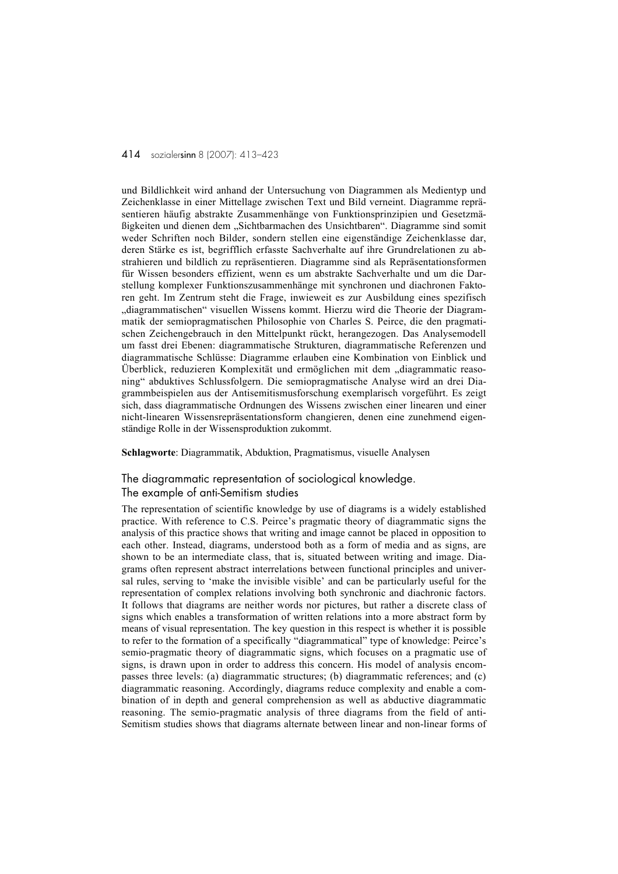und Bildlichkeit wird anhand der Untersuchung von Diagrammen als Medientyp und Zeichenklasse in einer Mittellage zwischen Text und Bild verneint. Diagramme repräsentieren häufig abstrakte Zusammenhänge von Funktionsprinzipien und Gesetzmäßigkeiten und dienen dem "Sichtbarmachen des Unsichtbaren". Diagramme sind somit weder Schriften noch Bilder, sondern stellen eine eigenständige Zeichenklasse dar, deren Stärke es ist, begrifflich erfasste Sachverhalte auf ihre Grundrelationen zu abstrahieren und bildlich zu repräsentieren. Diagramme sind als Repräsentationsformen für Wissen besonders effizient, wenn es um abstrakte Sachverhalte und um die Darstellung komplexer Funktionszusammenhänge mit synchronen und diachronen Faktoren geht. Im Zentrum steht die Frage, inwieweit es zur Ausbildung eines spezifisch "diagrammatischen" visuellen Wissens kommt. Hierzu wird die Theorie der Diagrammatik der semiopragmatischen Philosophie von Charles S. Peirce, die den pragmatischen Zeichengebrauch in den Mittelpunkt rückt, herangezogen. Das Analysemodell um fasst drei Ebenen: diagrammatische Strukturen, diagrammatische Referenzen und diagrammatische Schlüsse: Diagramme erlauben eine Kombination von Einblick und Überblick, reduzieren Komplexität und ermöglichen mit dem "diagrammatic reasoning" abduktives Schlussfolgern. Die semiopragmatische Analyse wird an drei Diagrammbeispielen aus der Antisemitismusforschung exemplarisch vorgeführt. Es zeigt sich, dass diagrammatische Ordnungen des Wissens zwischen einer linearen und einer nicht-linearen Wissensrepräsentationsform changieren, denen eine zunehmend eigenständige Rolle in der Wissensproduktion zukommt.

Schlagworte: Diagrammatik, Abduktion, Pragmatismus, visuelle Analysen

## The diagrammatic representation of sociological knowledge. The example of anti-Semitism studies

The representation of scientific knowledge by use of diagrams is a widely established practice. With reference to C.S. Peirce's pragmatic theory of diagrammatic signs the analysis of this practice shows that writing and image cannot be placed in opposition to each other. Instead, diagrams, understood both as a form of media and as signs, are shown to be an intermediate class, that is, situated between writing and image. Diagrams often represent abstract interrelations between functional principles and universal rules, serving to 'make the invisible visible' and can be particularly useful for the representation of complex relations involving both synchronic and diachronic factors. It follows that diagrams are neither words nor pictures, but rather a discrete class of signs which enables a transformation of written relations into a more abstract form by means of visual representation. The key question in this respect is whether it is possible to refer to the formation of a specifically "diagrammatical" type of knowledge: Peirce's semio-pragmatic theory of diagrammatic signs, which focuses on a pragmatic use of signs, is drawn upon in order to address this concern. His model of analysis encompasses three levels: (a) diagrammatic structures; (b) diagrammatic references; and (c) diagrammatic reasoning. Accordingly, diagrams reduce complexity and enable a combination of in depth and general comprehension as well as abductive diagrammatic reasoning. The semio-pragmatic analysis of three diagrams from the field of anti-Semitism studies shows that diagrams alternate between linear and non-linear forms of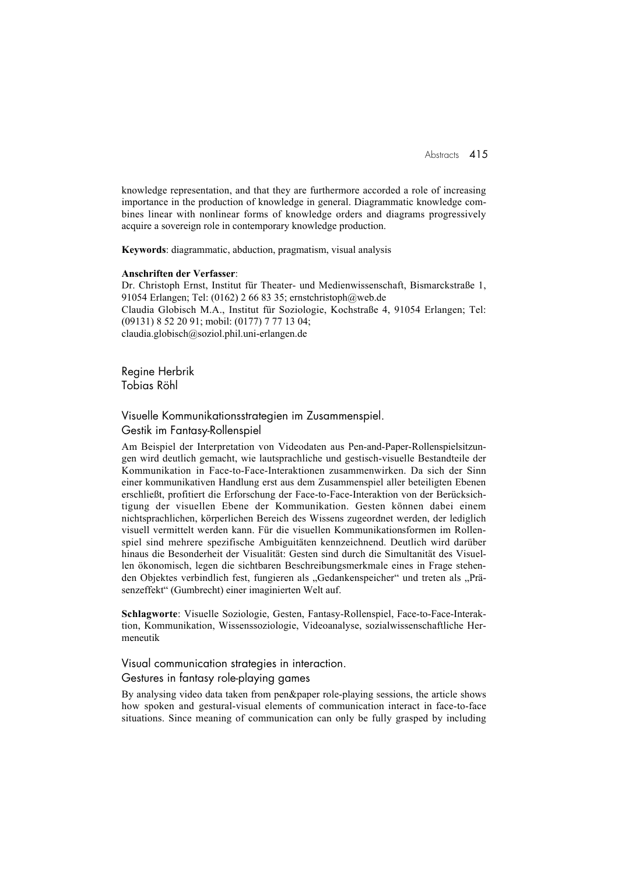knowledge representation, and that they are furthermore accorded a role of increasing importance in the production of knowledge in general. Diagrammatic knowledge combines linear with nonlinear forms of knowledge orders and diagrams progressively acquire a sovereign role in contemporary knowledge production.

Keywords: diagrammatic, abduction, pragmatism, visual analysis

#### Anschriften der Verfasser:

Dr. Christoph Ernst, Institut für Theater- und Medienwissenschaft, Bismarckstraße 1, 91054 Erlangen; Tel: (0162) 2 66 83 35; ernstchristoph@web.de Claudia Globisch M.A., Institut für Soziologie, Kochstraße 4, 91054 Erlangen; Tel: (09131) 8 52 20 91; mobil: (0177) 7 77 13 04; claudia.globisch@soziol.phil.uni-erlangen.de

Regine Herbrik Tobias Röhl

Visuelle Kommunikationsstrategien im Zusammenspiel. Gestik im Fantasy-Rollenspiel

Am Beispiel der Interpretation von Videodaten aus Pen-and-Paper-Rollenspielsitzungen wird deutlich gemacht, wie lautsprachliche und gestisch-visuelle Bestandteile der Kommunikation in Face-to-Face-Interaktionen zusammenwirken. Da sich der Sinn einer kommunikativen Handlung erst aus dem Zusammenspiel aller beteiligten Ebenen erschließt, profitiert die Erforschung der Face-to-Face-Interaktion von der Berücksichtigung der visuellen Ebene der Kommunikation. Gesten können dabei einem nichtsprachlichen, körperlichen Bereich des Wissens zugeordnet werden, der lediglich visuell vermittelt werden kann. Für die visuellen Kommunikationsformen im Rollenspiel sind mehrere spezifische Ambiguitäten kennzeichnend. Deutlich wird darüber hinaus die Besonderheit der Visualität: Gesten sind durch die Simultanität des Visuellen ökonomisch, legen die sichtbaren Beschreibungsmerkmale eines in Frage stehenden Objektes verbindlich fest, fungieren als "Gedankenspeicher" und treten als "Präsenzeffekt" (Gumbrecht) einer imaginierten Welt auf.

Schlagworte: Visuelle Soziologie, Gesten, Fantasy-Rollenspiel, Face-to-Face-Interaktion, Kommunikation, Wissenssoziologie, Videoanalyse, sozialwissenschaftliche Hermeneutik

### Visual communication strategies in interaction. Gestures in fantasy role-playing games

By analysing video data taken from pen&paper role-playing sessions, the article shows how spoken and gestural-visual elements of communication interact in face-to-face situations. Since meaning of communication can only be fully grasped by including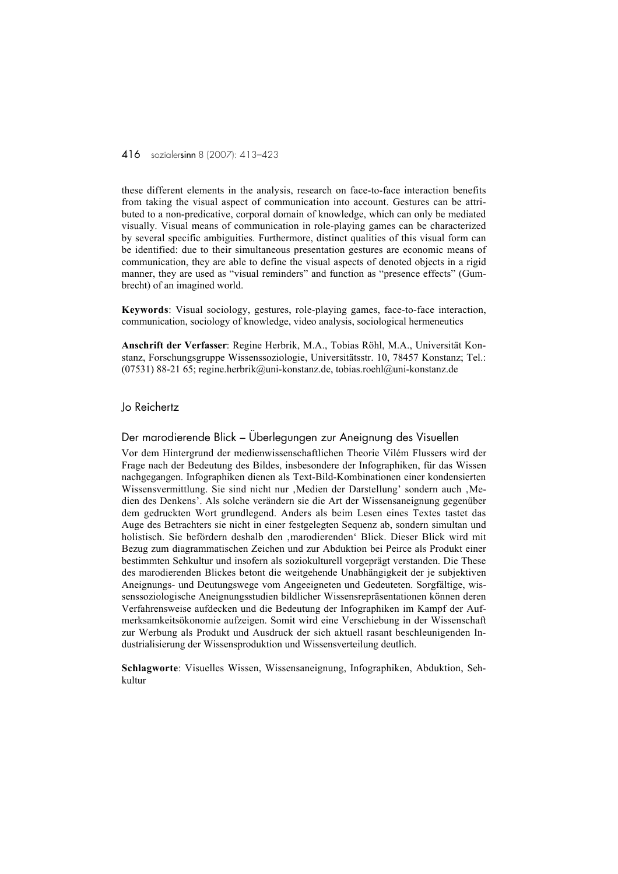these different elements in the analysis, research on face-to-face interaction benefits from taking the visual aspect of communication into account. Gestures can be attributed to a non-predicative, corporal domain of knowledge, which can only be mediated visually. Visual means of communication in role-playing games can be characterized by several specific ambiguities. Furthermore, distinct qualities of this visual form can be identified: due to their simultaneous presentation gestures are economic means of communication, they are able to define the visual aspects of denoted objects in a rigid manner, they are used as "visual reminders" and function as "presence effects" (Gumbrecht) of an imagined world.

Keywords: Visual sociology, gestures, role-playing games, face-to-face interaction, communication, sociology of knowledge, video analysis, sociological hermeneutics

Anschrift der Verfasser: Regine Herbrik, M.A., Tobias Röhl, M.A., Universität Konstanz, Forschungsgruppe Wissenssoziologie, Universitätsstr. 10, 78457 Konstanz; Tel.: (07531) 88-21 65; regine.herbrik@uni-konstanz.de, tobias.roehl@uni-konstanz.de

#### Jo Reichertz

### Der marodierende Blick – Überlegungen zur Aneignung des Visuellen

Vor dem Hintergrund der medienwissenschaftlichen Theorie Vilém Flussers wird der Frage nach der Bedeutung des Bildes, insbesondere der Infographiken, für das Wissen nachgegangen. Infographiken dienen als Text-Bild-Kombinationen einer kondensierten Wissensvermittlung. Sie sind nicht nur 'Medien der Darstellung' sondern auch 'Medien des Denkens'. Als solche verändern sie die Art der Wissensaneignung gegenüber dem gedruckten Wort grundlegend. Anders als beim Lesen eines Textes tastet das Auge des Betrachters sie nicht in einer festgelegten Sequenz ab, sondern simultan und holistisch. Sie befördern deshalb den ,marodierenden' Blick. Dieser Blick wird mit Bezug zum diagrammatischen Zeichen und zur Abduktion bei Peirce als Produkt einer bestimmten Sehkultur und insofern als soziokulturell vorgeprägt verstanden. Die These des marodierenden Blickes betont die weitgehende Unabhängigkeit der je subjektiven Aneignungs- und Deutungswege vom Angeeigneten und Gedeuteten. Sorgfältige, wissenssoziologische Aneignungsstudien bildlicher Wissensrepräsentationen können deren Verfahrensweise aufdecken und die Bedeutung der Infographiken im Kampf der Aufmerksamkeitsökonomie aufzeigen. Somit wird eine Verschiebung in der Wissenschaft zur Werbung als Produkt und Ausdruck der sich aktuell rasant beschleunigenden Industrialisierung der Wissensproduktion und Wissensverteilung deutlich.

Schlagworte: Visuelles Wissen, Wissensaneignung, Infographiken, Abduktion, Sehkultur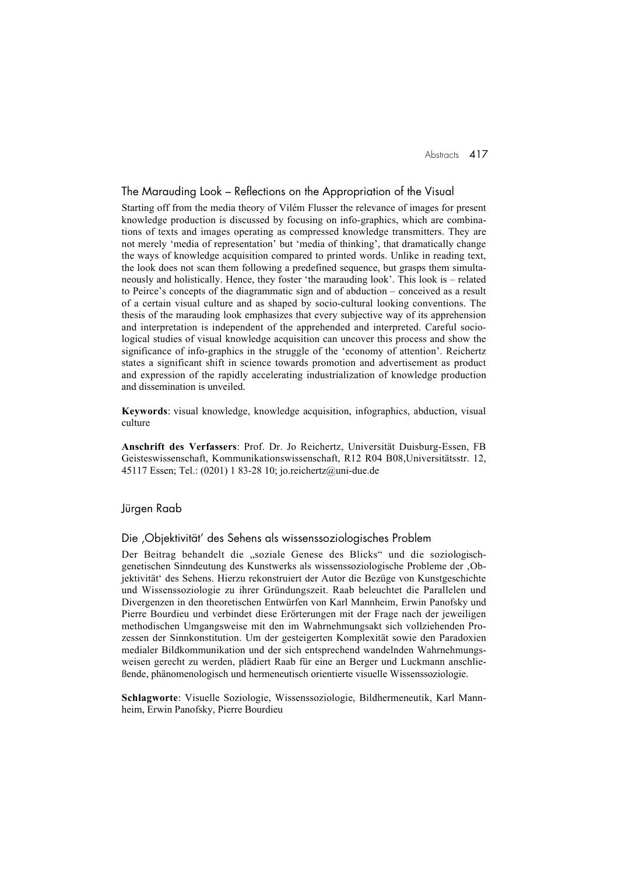### The Marauding Look – Reflections on the Appropriation of the Visual

Starting off from the media theory of Vilém Flusser the relevance of images for present knowledge production is discussed by focusing on info-graphics, which are combinations of texts and images operating as compressed knowledge transmitters. They are not merely 'media of representation' but 'media of thinking', that dramatically change the ways of knowledge acquisition compared to printed words. Unlike in reading text, the look does not scan them following a predefined sequence, but grasps them simultaneously and holistically. Hence, they foster 'the marauding look'. This look is – related to Peirce's concepts of the diagrammatic sign and of abduction – conceived as a result of a certain visual culture and as shaped by socio-cultural looking conventions. The thesis of the marauding look emphasizes that every subjective way of its apprehension and interpretation is independent of the apprehended and interpreted. Careful sociological studies of visual knowledge acquisition can uncover this process and show the significance of info-graphics in the struggle of the 'economy of attention'. Reichertz states a significant shift in science towards promotion and advertisement as product and expression of the rapidly accelerating industrialization of knowledge production and dissemination is unveiled.

Keywords: visual knowledge, knowledge acquisition, infographics, abduction, visual culture

Anschrift des Verfassers: Prof. Dr. Jo Reichertz, Universität Duisburg-Essen, FB Geisteswissenschaft, Kommunikationswissenschaft, R12 R04 B08,Universitätsstr. 12, 45117 Essen; Tel.: (0201) 1 83-28 10; jo.reichertz@uni-due.de

### Jürgen Raab

### Die , Objektivität' des Sehens als wissenssoziologisches Problem

Der Beitrag behandelt die "soziale Genese des Blicks" und die soziologischgenetischen Sinndeutung des Kunstwerks als wissenssoziologische Probleme der 'Objektivität' des Sehens. Hierzu rekonstruiert der Autor die Bezüge von Kunstgeschichte und Wissenssoziologie zu ihrer Gründungszeit. Raab beleuchtet die Parallelen und Divergenzen in den theoretischen Entwürfen von Karl Mannheim, Erwin Panofsky und Pierre Bourdieu und verbindet diese Erörterungen mit der Frage nach der jeweiligen methodischen Umgangsweise mit den im Wahrnehmungsakt sich vollziehenden Prozessen der Sinnkonstitution. Um der gesteigerten Komplexität sowie den Paradoxien medialer Bildkommunikation und der sich entsprechend wandelnden Wahrnehmungsweisen gerecht zu werden, plädiert Raab für eine an Berger und Luckmann anschließende, phänomenologisch und hermeneutisch orientierte visuelle Wissenssoziologie.

Schlagworte: Visuelle Soziologie, Wissenssoziologie, Bildhermeneutik, Karl Mannheim, Erwin Panofsky, Pierre Bourdieu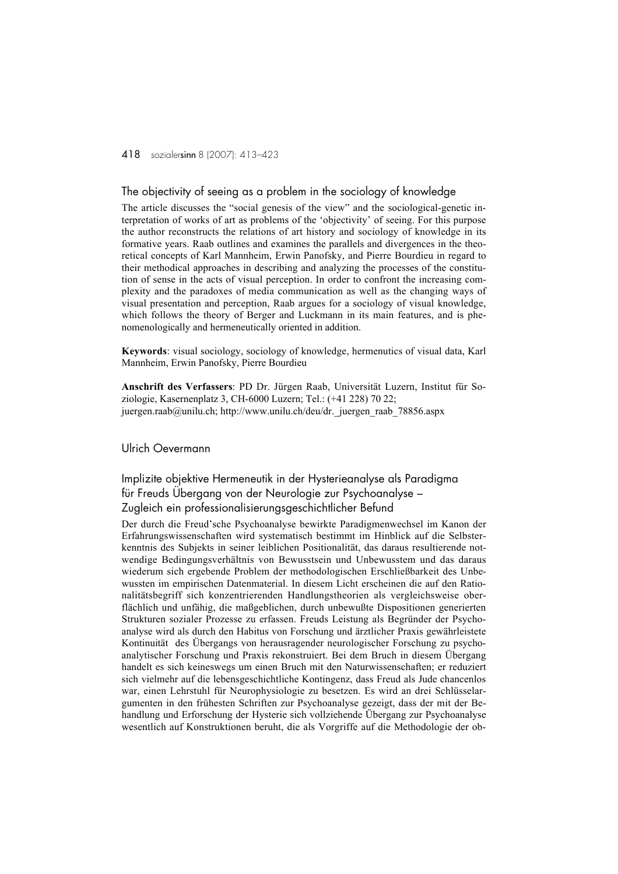### The objectivity of seeing as a problem in the sociology of knowledge

The article discusses the "social genesis of the view" and the sociological-genetic interpretation of works of art as problems of the 'objectivity' of seeing. For this purpose the author reconstructs the relations of art history and sociology of knowledge in its formative years. Raab outlines and examines the parallels and divergences in the theoretical concepts of Karl Mannheim, Erwin Panofsky, and Pierre Bourdieu in regard to their methodical approaches in describing and analyzing the processes of the constitution of sense in the acts of visual perception. In order to confront the increasing complexity and the paradoxes of media communication as well as the changing ways of visual presentation and perception, Raab argues for a sociology of visual knowledge, which follows the theory of Berger and Luckmann in its main features, and is phenomenologically and hermeneutically oriented in addition.

Keywords: visual sociology, sociology of knowledge, hermenutics of visual data, Karl Mannheim, Erwin Panofsky, Pierre Bourdieu

Anschrift des Verfassers: PD Dr. Jürgen Raab, Universität Luzern, Institut für Soziologie, Kasernenplatz 3, CH-6000 Luzern; Tel.: (+41 228) 70 22; juergen.raab@unilu.ch; http://www.unilu.ch/deu/dr.\_juergen\_raab\_78856.aspx

### Ulrich Oevermann

Implizite objektive Hermeneutik in der Hysterieanalyse als Paradigma für Freuds Übergang von der Neurologie zur Psychoanalyse – Zugleich ein professionalisierungsgeschichtlicher Befund

Der durch die Freud'sche Psychoanalyse bewirkte Paradigmenwechsel im Kanon der Erfahrungswissenschaften wird systematisch bestimmt im Hinblick auf die Selbsterkenntnis des Subjekts in seiner leiblichen Positionalität, das daraus resultierende notwendige Bedingungsverhältnis von Bewusstsein und Unbewusstem und das daraus wiederum sich ergebende Problem der methodologischen Erschließbarkeit des Unbewussten im empirischen Datenmaterial. In diesem Licht erscheinen die auf den Rationalitätsbegriff sich konzentrierenden Handlungstheorien als vergleichsweise oberflächlich und unfähig, die maßgeblichen, durch unbewußte Dispositionen generierten Strukturen sozialer Prozesse zu erfassen. Freuds Leistung als Begründer der Psychoanalyse wird als durch den Habitus von Forschung und ärztlicher Praxis gewährleistete Kontinuität des Übergangs von herausragender neurologischer Forschung zu psychoanalytischer Forschung und Praxis rekonstruiert. Bei dem Bruch in diesem Übergang handelt es sich keineswegs um einen Bruch mit den Naturwissenschaften; er reduziert sich vielmehr auf die lebensgeschichtliche Kontingenz, dass Freud als Jude chancenlos war, einen Lehrstuhl für Neurophysiologie zu besetzen. Es wird an drei Schlüsselargumenten in den frühesten Schriften zur Psychoanalyse gezeigt, dass der mit der Behandlung und Erforschung der Hysterie sich vollziehende Übergang zur Psychoanalyse wesentlich auf Konstruktionen beruht, die als Vorgriffe auf die Methodologie der ob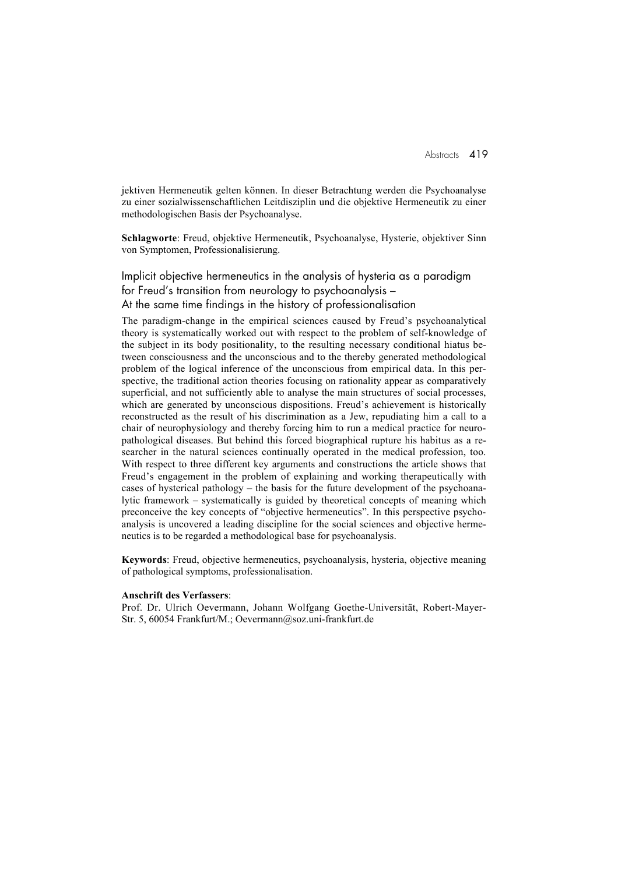jektiven Hermeneutik gelten können. In dieser Betrachtung werden die Psychoanalyse zu einer sozialwissenschaftlichen Leitdisziplin und die objektive Hermeneutik zu einer methodologischen Basis der Psychoanalyse.

Schlagworte: Freud, objektive Hermeneutik, Psychoanalyse, Hysterie, objektiver Sinn von Symptomen, Professionalisierung.

Implicit objective hermeneutics in the analysis of hysteria as a paradigm for Freud's transition from neurology to psychoanalysis – At the same time findings in the history of professionalisation

The paradigm-change in the empirical sciences caused by Freud's psychoanalytical theory is systematically worked out with respect to the problem of self-knowledge of the subject in its body positionality, to the resulting necessary conditional hiatus between consciousness and the unconscious and to the thereby generated methodological problem of the logical inference of the unconscious from empirical data. In this perspective, the traditional action theories focusing on rationality appear as comparatively superficial, and not sufficiently able to analyse the main structures of social processes, which are generated by unconscious dispositions. Freud's achievement is historically reconstructed as the result of his discrimination as a Jew, repudiating him a call to a chair of neurophysiology and thereby forcing him to run a medical practice for neuropathological diseases. But behind this forced biographical rupture his habitus as a researcher in the natural sciences continually operated in the medical profession, too. With respect to three different key arguments and constructions the article shows that Freud's engagement in the problem of explaining and working therapeutically with cases of hysterical pathology – the basis for the future development of the psychoanalytic framework – systematically is guided by theoretical concepts of meaning which preconceive the key concepts of "objective hermeneutics". In this perspective psychoanalysis is uncovered a leading discipline for the social sciences and objective hermeneutics is to be regarded a methodological base for psychoanalysis.

Keywords: Freud, objective hermeneutics, psychoanalysis, hysteria, objective meaning of pathological symptoms, professionalisation.

#### Anschrift des Verfassers:

Prof. Dr. Ulrich Oevermann, Johann Wolfgang Goethe-Universität, Robert-Mayer-Str. 5, 60054 Frankfurt/M.; Oevermann@soz.uni-frankfurt.de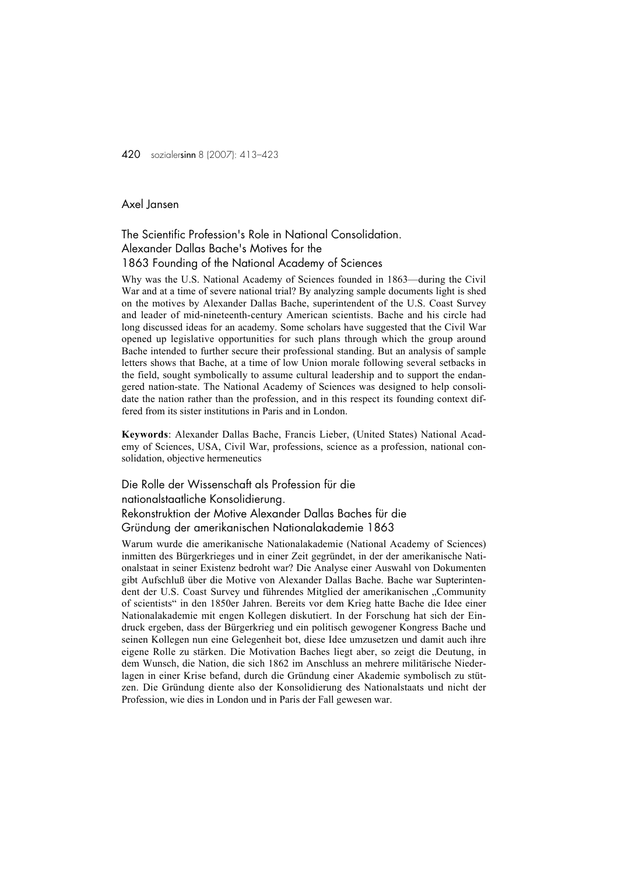## Axel Jansen

## The Scientific Profession's Role in National Consolidation. Alexander Dallas Bache's Motives for the 1863 Founding of the National Academy of Sciences

Why was the U.S. National Academy of Sciences founded in 1863—during the Civil War and at a time of severe national trial? By analyzing sample documents light is shed on the motives by Alexander Dallas Bache, superintendent of the U.S. Coast Survey and leader of mid-nineteenth-century American scientists. Bache and his circle had long discussed ideas for an academy. Some scholars have suggested that the Civil War opened up legislative opportunities for such plans through which the group around Bache intended to further secure their professional standing. But an analysis of sample letters shows that Bache, at a time of low Union morale following several setbacks in the field, sought symbolically to assume cultural leadership and to support the endangered nation-state. The National Academy of Sciences was designed to help consolidate the nation rather than the profession, and in this respect its founding context differed from its sister institutions in Paris and in London.

Keywords: Alexander Dallas Bache, Francis Lieber, (United States) National Academy of Sciences, USA, Civil War, professions, science as a profession, national consolidation, objective hermeneutics

## Die Rolle der Wissenschaft als Profession für die nationalstaatliche Konsolidierung. Rekonstruktion der Motive Alexander Dallas Baches für die Gründung der amerikanischen Nationalakademie 1863

Warum wurde die amerikanische Nationalakademie (National Academy of Sciences) inmitten des Bürgerkrieges und in einer Zeit gegründet, in der der amerikanische Nationalstaat in seiner Existenz bedroht war? Die Analyse einer Auswahl von Dokumenten gibt Aufschluß über die Motive von Alexander Dallas Bache. Bache war Supterintendent der U.S. Coast Survey und führendes Mitglied der amerikanischen "Community of scientists" in den 1850er Jahren. Bereits vor dem Krieg hatte Bache die Idee einer Nationalakademie mit engen Kollegen diskutiert. In der Forschung hat sich der Eindruck ergeben, dass der Bürgerkrieg und ein politisch gewogener Kongress Bache und seinen Kollegen nun eine Gelegenheit bot, diese Idee umzusetzen und damit auch ihre eigene Rolle zu stärken. Die Motivation Baches liegt aber, so zeigt die Deutung, in dem Wunsch, die Nation, die sich 1862 im Anschluss an mehrere militärische Niederlagen in einer Krise befand, durch die Gründung einer Akademie symbolisch zu stützen. Die Gründung diente also der Konsolidierung des Nationalstaats und nicht der Profession, wie dies in London und in Paris der Fall gewesen war.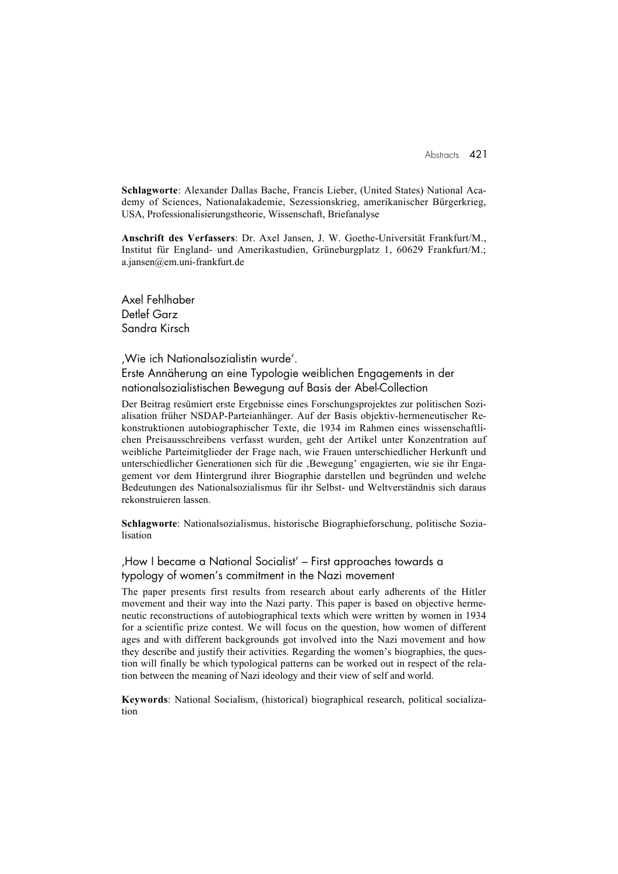Schlagworte: Alexander Dallas Bache, Francis Lieber, (United States) National Academy of Sciences, Nationalakademie, Sezessionskrieg, amerikanischer Bürgerkrieg, USA, Professionalisierungstheorie, Wissenschaft, Briefanalyse

Anschrift des Verfassers: Dr. Axel Jansen, J. W. Goethe-Universität Frankfurt/M., Institut für England- und Amerikastudien, Grüneburgplatz 1, 60629 Frankfurt/M.; a.jansen@em.uni-frankfurt.de

Axel Fehlhaber Detlef Garz Sandra Kirsch

'Wie ich Nationalsozialistin wurde'.

Erste Annäherung an eine Typologie weiblichen Engagements in der nationalsozialistischen Bewegung auf Basis der Abel-Collection

Der Beitrag resümiert erste Ergebnisse eines Forschungsprojektes zur politischen Sozialisation früher NSDAP-Parteianhänger. Auf der Basis objektiv-hermeneutischer Rekonstruktionen autobiographischer Texte, die 1934 im Rahmen eines wissenschaftlichen Preisausschreibens verfasst wurden, geht der Artikel unter Konzentration auf weibliche Parteimitglieder der Frage nach, wie Frauen unterschiedlicher Herkunft und unterschiedlicher Generationen sich für die 'Bewegung' engagierten, wie sie ihr Engagement vor dem Hintergrund ihrer Biographie darstellen und begründen und welche Bedeutungen des Nationalsozialismus für ihr Selbst- und Weltverständnis sich daraus rekonstruieren lassen.

Schlagworte: Nationalsozialismus, historische Biographieforschung, politische Sozialisation

'How I became a National Socialist' – First approaches towards a typology of women's commitment in the Nazi movement

The paper presents first results from research about early adherents of the Hitler movement and their way into the Nazi party. This paper is based on objective hermeneutic reconstructions of autobiographical texts which were written by women in 1934 for a scientific prize contest. We will focus on the question, how women of different ages and with different backgrounds got involved into the Nazi movement and how they describe and justify their activities. Regarding the women's biographies, the question will finally be which typological patterns can be worked out in respect of the relation between the meaning of Nazi ideology and their view of self and world.

Keywords: National Socialism, (historical) biographical research, political socialization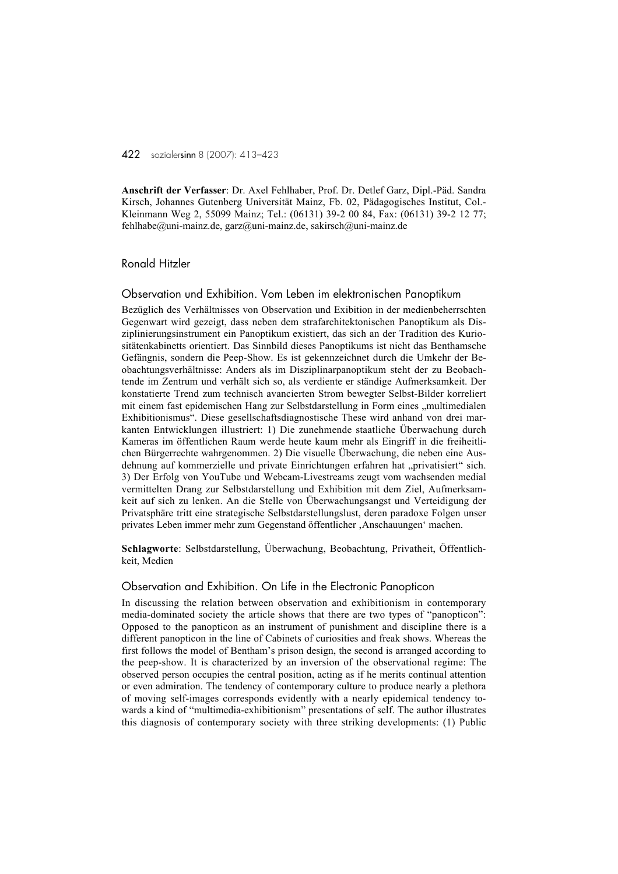Anschrift der Verfasser: Dr. Axel Fehlhaber, Prof. Dr. Detlef Garz, Dipl.-Päd. Sandra Kirsch, Johannes Gutenberg Universität Mainz, Fb. 02, Pädagogisches Institut, Col.- Kleinmann Weg 2, 55099 Mainz; Tel.: (06131) 39-2 00 84, Fax: (06131) 39-2 12 77; fehlhabe@uni-mainz.de, garz@uni-mainz.de, sakirsch@uni-mainz.de

#### Ronald Hitzler

#### Observation und Exhibition. Vom Leben im elektronischen Panoptikum

Bezüglich des Verhältnisses von Observation und Exibition in der medienbeherrschten Gegenwart wird gezeigt, dass neben dem strafarchitektonischen Panoptikum als Disziplinierungsinstrument ein Panoptikum existiert, das sich an der Tradition des Kuriositätenkabinetts orientiert. Das Sinnbild dieses Panoptikums ist nicht das Benthamsche Gefängnis, sondern die Peep-Show. Es ist gekennzeichnet durch die Umkehr der Beobachtungsverhältnisse: Anders als im Disziplinarpanoptikum steht der zu Beobachtende im Zentrum und verhält sich so, als verdiente er ständige Aufmerksamkeit. Der konstatierte Trend zum technisch avancierten Strom bewegter Selbst-Bilder korreliert mit einem fast epidemischen Hang zur Selbstdarstellung in Form eines "multimedialen Exhibitionismus". Diese gesellschaftsdiagnostische These wird anhand von drei markanten Entwicklungen illustriert: 1) Die zunehmende staatliche Überwachung durch Kameras im öffentlichen Raum werde heute kaum mehr als Eingriff in die freiheitlichen Bürgerrechte wahrgenommen. 2) Die visuelle Überwachung, die neben eine Ausdehnung auf kommerzielle und private Einrichtungen erfahren hat "privatisiert" sich. 3) Der Erfolg von YouTube und Webcam-Livestreams zeugt vom wachsenden medial vermittelten Drang zur Selbstdarstellung und Exhibition mit dem Ziel, Aufmerksamkeit auf sich zu lenken. An die Stelle von Überwachungsangst und Verteidigung der Privatsphäre tritt eine strategische Selbstdarstellungslust, deren paradoxe Folgen unser privates Leben immer mehr zum Gegenstand öffentlicher "Anschauungen' machen.

Schlagworte: Selbstdarstellung, Überwachung, Beobachtung, Privatheit, Öffentlichkeit, Medien

### Observation and Exhibition. On Life in the Electronic Panopticon

In discussing the relation between observation and exhibitionism in contemporary media-dominated society the article shows that there are two types of "panopticon": Opposed to the panopticon as an instrument of punishment and discipline there is a different panopticon in the line of Cabinets of curiosities and freak shows. Whereas the first follows the model of Bentham's prison design, the second is arranged according to the peep-show. It is characterized by an inversion of the observational regime: The observed person occupies the central position, acting as if he merits continual attention or even admiration. The tendency of contemporary culture to produce nearly a plethora of moving self-images corresponds evidently with a nearly epidemical tendency towards a kind of "multimedia-exhibitionism" presentations of self. The author illustrates this diagnosis of contemporary society with three striking developments: (1) Public